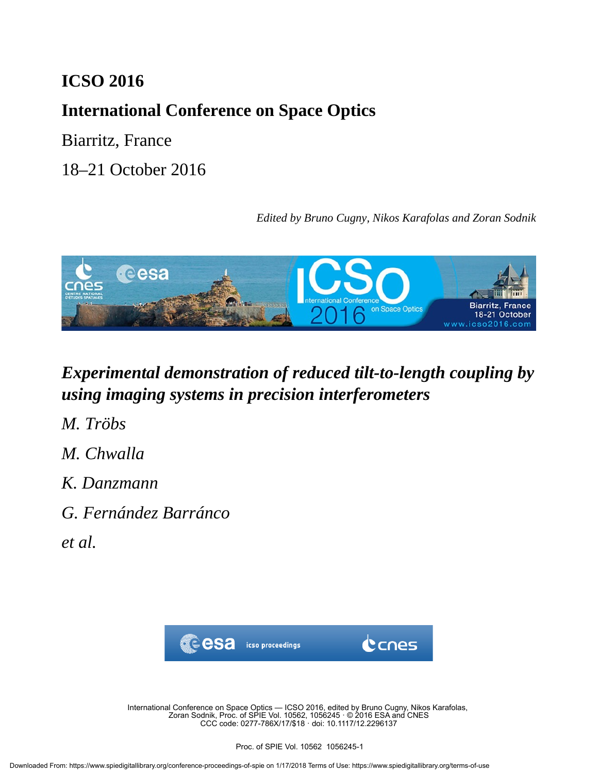## **ICSO 2016**

# **International Conference on Space Optics**

Biarritz, France

18–21 October 2016

*Edited by Bruno Cugny, Nikos Karafolas and Zoran Sodnik*



# *Experimental demonstration of reduced tilt-to-length coupling by using imaging systems in precision interferometers*

*M. Tröbs*

- *M. Chwalla*
- *K. Danzmann*
- *G. Fernández Barránco*
- *et al.*



International Conference on Space Optics — ICSO 2016, edited by Bruno Cugny, Nikos Karafolas, Zoran Sodnik, Proc. of SPIE Vol. 10562, 1056245 · © 2016 ESA and CNES CCC code: 0277-786X/17/\$18 · doi: 10.1117/12.2296137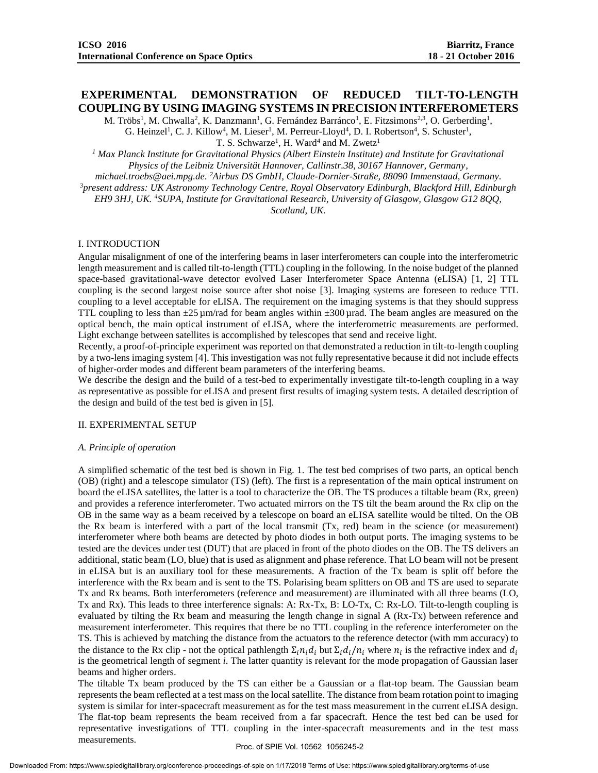## **EXPERIMENTAL DEMONSTRATION OF REDUCED TILT-TO-LENGTH COUPLING BY USING IMAGING SYSTEMS IN PRECISION INTERFEROMETERS**

M. Tröbs<sup>1</sup>, M. Chwalla<sup>2</sup>, K. Danzmann<sup>1</sup>, G. Fernández Barránco<sup>1</sup>, E. Fitzsimons<sup>2,3</sup>, O. Gerberding<sup>1</sup>, G. Heinzel<sup>1</sup>, C. J. Killow<sup>4</sup>, M. Lieser<sup>1</sup>, M. Perreur-Lloyd<sup>4</sup>, D. I. Robertson<sup>4</sup>, S. Schuster<sup>1</sup>,

T. S. Schwarze<sup>1</sup>, H. Ward<sup>4</sup> and M. Zwetz<sup>1</sup>

<sup>1</sup> Max Planck Institute for Gravitational Physics (Albert Einstein Institute) and Institute for Gravitational *Physics of the Leibniz Universität Hannover, Callinstr.38, 30167 Hannover, Germany,* 

*michael.troebs@aei.mpg.de. <sup>2</sup>Airbus DS GmbH, Claude-Dornier-Straße, 88090 Immenstaad, Germany.* 

*<sup>3</sup>present address: UK Astronomy Technology Centre, Royal Observatory Edinburgh, Blackford Hill, Edinburgh* 

*EH9 3HJ, UK. <sup>4</sup>SUPA, Institute for Gravitational Research, University of Glasgow, Glasgow G12 8QQ, Scotland, UK.*

#### I. INTRODUCTION

Angular misalignment of one of the interfering beams in laser interferometers can couple into the interferometric length measurement and is called tilt-to-length (TTL) coupling in the following. In the noise budget of the planned space-based gravitational-wave detector evolved Laser Interferometer Space Antenna (eLISA) [1, 2] TTL coupling is the second largest noise source after shot noise [3]. Imaging systems are foreseen to reduce TTL coupling to a level acceptable for eLISA. The requirement on the imaging systems is that they should suppress TTL coupling to less than  $\pm 25 \mu$ m/rad for beam angles within  $\pm 300 \mu$  rad. The beam angles are measured on the optical bench, the main optical instrument of eLISA, where the interferometric measurements are performed. Light exchange between satellites is accomplished by telescopes that send and receive light.

Recently, a proof-of-principle experiment was reported on that demonstrated a reduction in tilt-to-length coupling by a two-lens imaging system [4]. This investigation was not fully representative because it did not include effects of higher-order modes and different beam parameters of the interfering beams.

We describe the design and the build of a test-bed to experimentally investigate tilt-to-length coupling in a way as representative as possible for eLISA and present first results of imaging system tests. A detailed description of the design and build of the test bed is given in [5].

#### II. EXPERIMENTAL SETUP

#### *A. Principle of operation*

A simplified schematic of the test bed is shown in Fig. 1. The test bed comprises of two parts, an optical bench (OB) (right) and a telescope simulator (TS) (left). The first is a representation of the main optical instrument on board the eLISA satellites, the latter is a tool to characterize the OB. The TS produces a tiltable beam (Rx, green) and provides a reference interferometer. Two actuated mirrors on the TS tilt the beam around the Rx clip on the OB in the same way as a beam received by a telescope on board an eLISA satellite would be tilted. On the OB the Rx beam is interfered with a part of the local transmit (Tx, red) beam in the science (or measurement) interferometer where both beams are detected by photo diodes in both output ports. The imaging systems to be tested are the devices under test (DUT) that are placed in front of the photo diodes on the OB. The TS delivers an additional, static beam (LO, blue) that is used as alignment and phase reference. That LO beam will not be present in eLISA but is an auxiliary tool for these measurements. A fraction of the Tx beam is split off before the interference with the Rx beam and is sent to the TS. Polarising beam splitters on OB and TS are used to separate Tx and Rx beams. Both interferometers (reference and measurement) are illuminated with all three beams (LO, Tx and Rx). This leads to three interference signals: A: Rx-Tx, B: LO-Tx, C: Rx-LO. Tilt-to-length coupling is evaluated by tilting the Rx beam and measuring the length change in signal A (Rx-Tx) between reference and measurement interferometer. This requires that there be no TTL coupling in the reference interferometer on the TS. This is achieved by matching the distance from the actuators to the reference detector (with mm accuracy) to the distance to the Rx clip - not the optical pathlength  $\Sigma_i n_i d_i$  but  $\Sigma_i d_i/n_i$  where  $n_i$  is the refractive index and  $d_i$ is the geometrical length of segment *i*. The latter quantity is relevant for the mode propagation of Gaussian laser beams and higher orders.

The tiltable Tx beam produced by the TS can either be a Gaussian or a flat-top beam. The Gaussian beam represents the beam reflected at a test mass on the local satellite. The distance from beam rotation point to imaging system is similar for inter-spacecraft measurement as for the test mass measurement in the current eLISA design. The flat-top beam represents the beam received from a far spacecraft. Hence the test bed can be used for representative investigations of TTL coupling in the inter-spacecraft measurements and in the test mass measurements.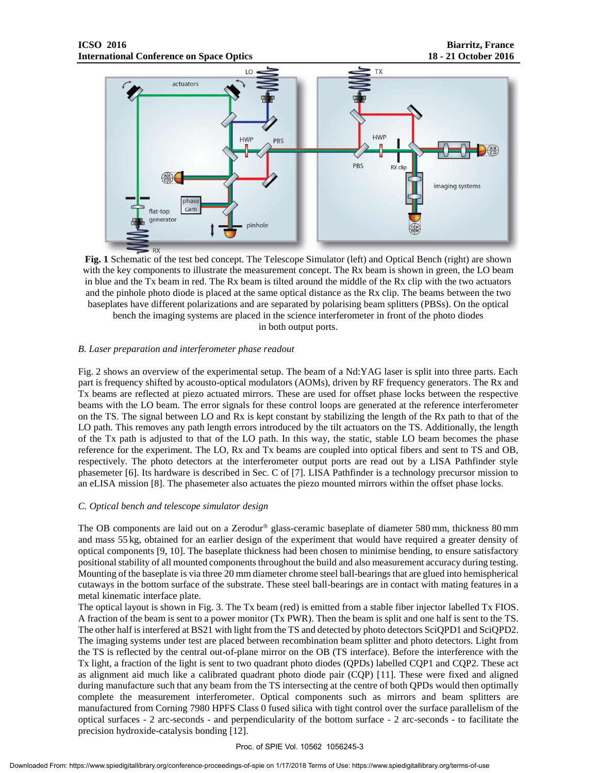

**Fig. 1** Schematic of the test bed concept. The Telescope Simulator (left) and Optical Bench (right) are shown with the key components to illustrate the measurement concept. The Rx beam is shown in green, the LO beam in blue and the Tx beam in red. The Rx beam is tilted around the middle of the Rx clip with the two actuators and the pinhole photo diode is placed at the same optical distance as the Rx clip. The beams between the two baseplates have different polarizations and are separated by polarising beam splitters (PBSs). On the optical bench the imaging systems are placed in the science interferometer in front of the photo diodes

in both output ports.

## *B. Laser preparation and interferometer phase readout*

Fig. 2 shows an overview of the experimental setup. The beam of a Nd:YAG laser is split into three parts. Each part is frequency shifted by acousto-optical modulators (AOMs), driven by RF frequency generators. The Rx and Tx beams are reflected at piezo actuated mirrors. These are used for offset phase locks between the respective beams with the LO beam. The error signals for these control loops are generated at the reference interferometer on the TS. The signal between LO and Rx is kept constant by stabilizing the length of the Rx path to that of the LO path. This removes any path length errors introduced by the tilt actuators on the TS. Additionally, the length of the Tx path is adjusted to that of the LO path. In this way, the static, stable LO beam becomes the phase reference for the experiment. The LO, Rx and Tx beams are coupled into optical fibers and sent to TS and OB, respectively. The photo detectors at the interferometer output ports are read out by a LISA Pathfinder style phasemeter [6]. Its hardware is described in Sec. C of [7]. LISA Pathfinder is a technology precursor mission to an eLISA mission [8]. The phasemeter also actuates the piezo mounted mirrors within the offset phase locks.

## *C. Optical bench and telescope simulator design*

The OB components are laid out on a Zerodur® glass-ceramic baseplate of diameter 580 mm, thickness 80 mm and mass 55 kg, obtained for an earlier design of the experiment that would have required a greater density of optical components [9, 10]. The baseplate thickness had been chosen to minimise bending, to ensure satisfactory positional stability of all mounted components throughout the build and also measurement accuracy during testing. Mounting of the baseplate is via three 20 mm diameter chrome steel ball-bearings that are glued into hemispherical cutaways in the bottom surface of the substrate. These steel ball-bearings are in contact with mating features in a metal kinematic interface plate.

The optical layout is shown in Fig. 3. The Tx beam (red) is emitted from a stable fiber injector labelled Tx FIOS. A fraction of the beam is sent to a power monitor (Tx PWR). Then the beam is split and one half is sent to the TS. The other half is interfered at BS21 with light from the TS and detected by photo detectors SciQPD1 and SciQPD2. The imaging systems under test are placed between recombination beam splitter and photo detectors. Light from the TS is reflected by the central out-of-plane mirror on the OB (TS interface). Before the interference with the Tx light, a fraction of the light is sent to two quadrant photo diodes (QPDs) labelled CQP1 and CQP2. These act as alignment aid much like a calibrated quadrant photo diode pair (CQP) [11]. These were fixed and aligned during manufacture such that any beam from the TS intersecting at the centre of both QPDs would then optimally complete the measurement interferometer. Optical components such as mirrors and beam splitters are manufactured from Corning 7980 HPFS Class 0 fused silica with tight control over the surface parallelism of the optical surfaces - 2 arc-seconds - and perpendicularity of the bottom surface - 2 arc-seconds - to facilitate the precision hydroxide-catalysis bonding [12].

#### Proc. of SPIE Vol. 10562 1056245-3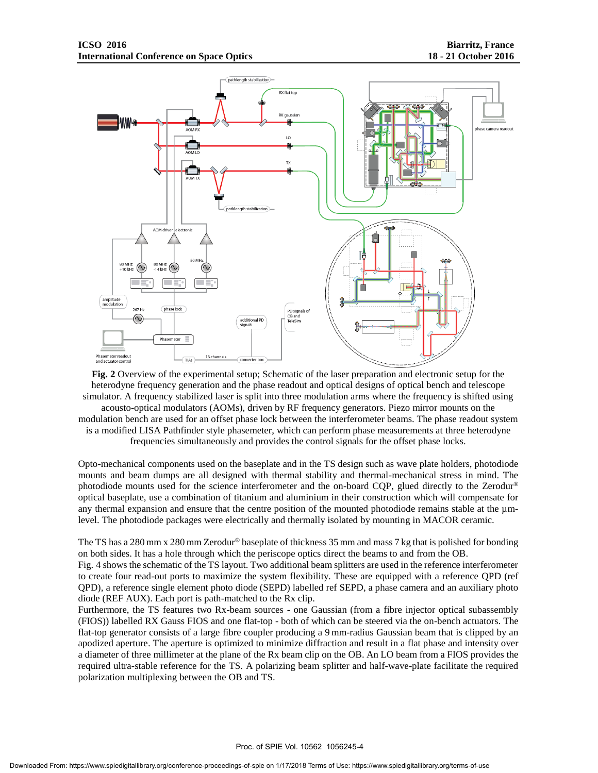

**Fig. 2** Overview of the experimental setup; Schematic of the laser preparation and electronic setup for the heterodyne frequency generation and the phase readout and optical designs of optical bench and telescope simulator. A frequency stabilized laser is split into three modulation arms where the frequency is shifted using acousto-optical modulators (AOMs), driven by RF frequency generators. Piezo mirror mounts on the modulation bench are used for an offset phase lock between the interferometer beams. The phase readout system is a modified LISA Pathfinder style phasemeter, which can perform phase measurements at three heterodyne frequencies simultaneously and provides the control signals for the offset phase locks.

Opto-mechanical components used on the baseplate and in the TS design such as wave plate holders, photodiode mounts and beam dumps are all designed with thermal stability and thermal-mechanical stress in mind. The photodiode mounts used for the science interferometer and the on-board CQP, glued directly to the Zerodur® optical baseplate, use a combination of titanium and aluminium in their construction which will compensate for any thermal expansion and ensure that the centre position of the mounted photodiode remains stable at the  $\mu$ mlevel. The photodiode packages were electrically and thermally isolated by mounting in MACOR ceramic.

The TS has a 280 mm x 280 mm Zerodur® baseplate of thickness 35 mm and mass 7 kg that is polished for bonding on both sides. It has a hole through which the periscope optics direct the beams to and from the OB.

Fig. 4 shows the schematic of the TS layout. Two additional beam splitters are used in the reference interferometer to create four read-out ports to maximize the system flexibility. These are equipped with a reference QPD (ref QPD), a reference single element photo diode (SEPD) labelled ref SEPD, a phase camera and an auxiliary photo diode (REF AUX). Each port is path-matched to the Rx clip.

Furthermore, the TS features two Rx-beam sources - one Gaussian (from a fibre injector optical subassembly (FIOS)) labelled RX Gauss FIOS and one flat-top - both of which can be steered via the on-bench actuators. The flat-top generator consists of a large fibre coupler producing a 9 mm-radius Gaussian beam that is clipped by an apodized aperture. The aperture is optimized to minimize diffraction and result in a flat phase and intensity over a diameter of three millimeter at the plane of the Rx beam clip on the OB. An LO beam from a FIOS provides the required ultra-stable reference for the TS. A polarizing beam splitter and half-wave-plate facilitate the required polarization multiplexing between the OB and TS.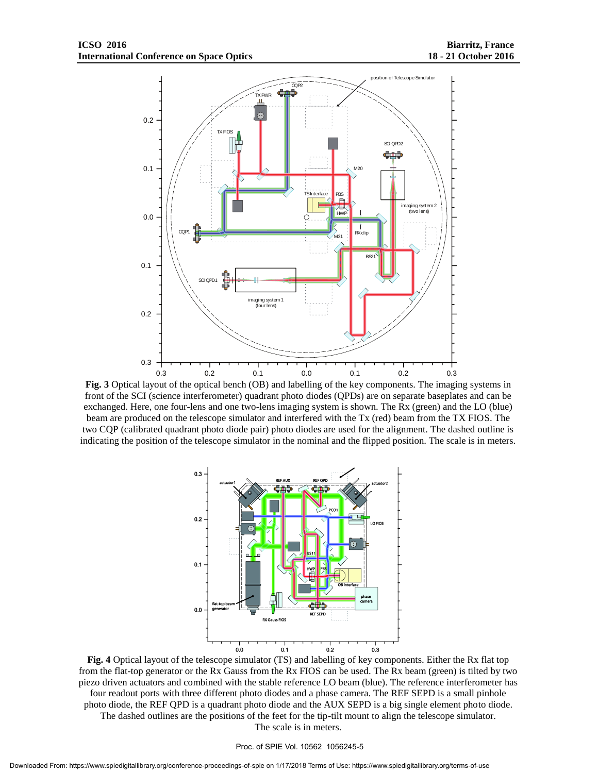

**Fig. 3** Optical layout of the optical bench (OB) and labelling of the key components. The imaging systems in front of the SCI (science interferometer) quadrant photo diodes (QPDs) are on separate baseplates and can be exchanged. Here, one four-lens and one two-lens imaging system is shown. The Rx (green) and the LO (blue) beam are produced on the telescope simulator and interfered with the Tx (red) beam from the TX FIOS. The two CQP (calibrated quadrant photo diode pair) photo diodes are used for the alignment. The dashed outline is indicating the position of the telescope simulator in the nominal and the flipped position. The scale is in meters.



**Fig. 4** Optical layout of the telescope simulator (TS) and labelling of key components. Either the Rx flat top from the flat-top generator or the Rx Gauss from the Rx FIOS can be used. The Rx beam (green) is tilted by two piezo driven actuators and combined with the stable reference LO beam (blue). The reference interferometer has four readout ports with three different photo diodes and a phase camera. The REF SEPD is a small pinhole photo diode, the REF QPD is a quadrant photo diode and the AUX SEPD is a big single element photo diode. The dashed outlines are the positions of the feet for the tip-tilt mount to align the telescope simulator. The scale is in meters.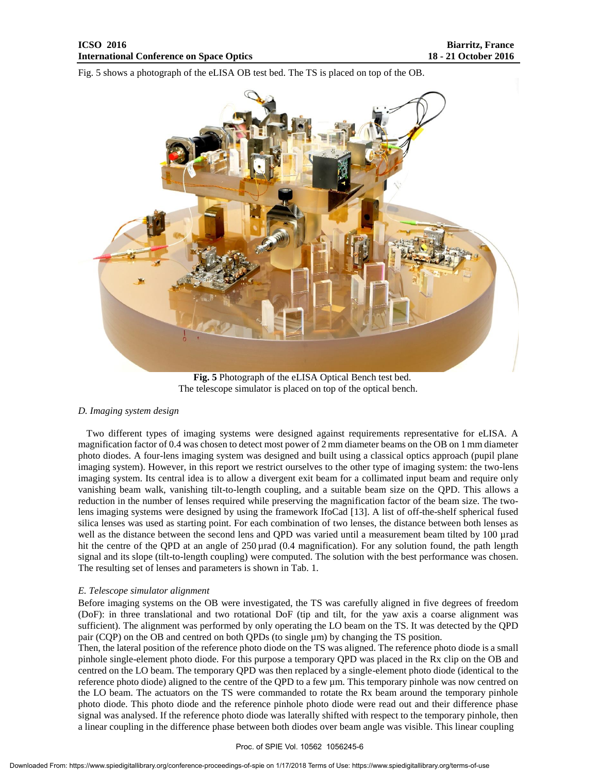Fig. 5 shows a photograph of the eLISA OB test bed. The TS is placed on top of the OB.



**Fig. 5** Photograph of the eLISA Optical Bench test bed. The telescope simulator is placed on top of the optical bench.

#### *D. Imaging system design*

Two different types of imaging systems were designed against requirements representative for eLISA. A magnification factor of 0.4 was chosen to detect most power of 2 mm diameter beams on the OB on 1 mm diameter photo diodes. A four-lens imaging system was designed and built using a classical optics approach (pupil plane imaging system). However, in this report we restrict ourselves to the other type of imaging system: the two-lens imaging system. Its central idea is to allow a divergent exit beam for a collimated input beam and require only vanishing beam walk, vanishing tilt-to-length coupling, and a suitable beam size on the QPD. This allows a reduction in the number of lenses required while preserving the magnification factor of the beam size. The twolens imaging systems were designed by using the framework IfoCad [13]. A list of off-the-shelf spherical fused silica lenses was used as starting point. For each combination of two lenses, the distance between both lenses as well as the distance between the second lens and QPD was varied until a measurement beam tilted by 100 µrad hit the centre of the QPD at an angle of 250 µrad (0.4 magnification). For any solution found, the path length signal and its slope (tilt-to-length coupling) were computed. The solution with the best performance was chosen. The resulting set of lenses and parameters is shown in Tab. 1.

#### *E. Telescope simulator alignment*

Before imaging systems on the OB were investigated, the TS was carefully aligned in five degrees of freedom (DoF): in three translational and two rotational DoF (tip and tilt, for the yaw axis a coarse alignment was sufficient). The alignment was performed by only operating the LO beam on the TS. It was detected by the QPD pair (CQP) on the OB and centred on both QPDs (to single  $\mu$ m) by changing the TS position.

Then, the lateral position of the reference photo diode on the TS was aligned. The reference photo diode is a small pinhole single-element photo diode. For this purpose a temporary QPD was placed in the Rx clip on the OB and centred on the LO beam. The temporary QPD was then replaced by a single-element photo diode (identical to the reference photo diode) aligned to the centre of the QPD to a few  $\mu$ m. This temporary pinhole was now centred on the LO beam. The actuators on the TS were commanded to rotate the Rx beam around the temporary pinhole photo diode. This photo diode and the reference pinhole photo diode were read out and their difference phase signal was analysed. If the reference photo diode was laterally shifted with respect to the temporary pinhole, then a linear coupling in the difference phase between both diodes over beam angle was visible. This linear coupling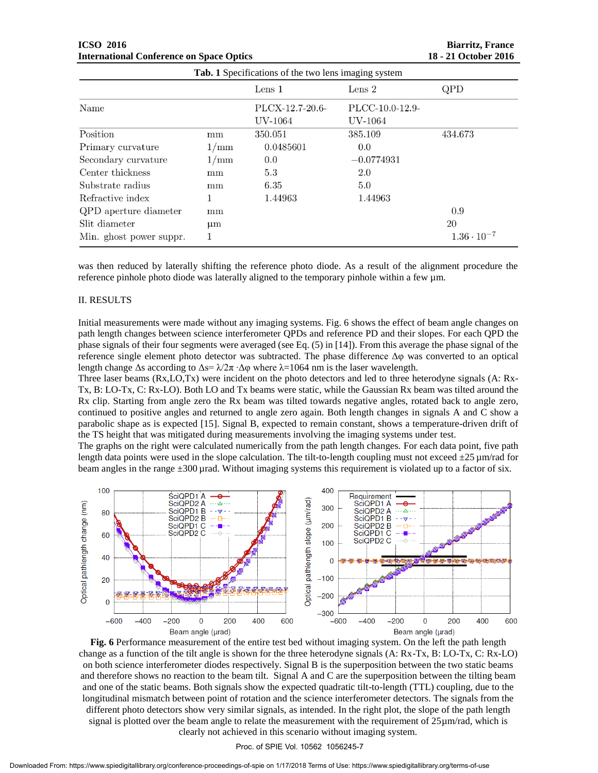|                         |      | Lens $1$                   | Lens $2$                   | QPD                  |
|-------------------------|------|----------------------------|----------------------------|----------------------|
| Name                    |      | PLCX-12.7-20.6-<br>UV-1064 | PLCC-10.0-12.9-<br>UV-1064 |                      |
| Position                | mm   | 350.051                    | 385.109                    | 434.673              |
| Primary curvature       | 1/mm | 0.0485601                  | 0.0                        |                      |
| Secondary curvature     | 1/mm | 0.0                        | $-0.0774931$               |                      |
| Center thickness        | mm   | 5.3                        | 2.0                        |                      |
| Substrate radius        | mm   | 6.35                       | 5.0                        |                      |
| Refractive index        |      | 1.44963                    | 1.44963                    |                      |
| QPD aperture diameter   | mm   |                            |                            | 0.9                  |
| Slit diameter           | μm   |                            |                            | 20                   |
| Min. ghost power suppr. |      |                            |                            | $1.36 \cdot 10^{-7}$ |

was then reduced by laterally shifting the reference photo diode. As a result of the alignment procedure the reference pinhole photo diode was laterally aligned to the temporary pinhole within a few  $\mu$ m.

## II. RESULTS

Initial measurements were made without any imaging systems. Fig. 6 shows the effect of beam angle changes on path length changes between science interferometer QPDs and reference PD and their slopes. For each QPD the phase signals of their four segments were averaged (see Eq. (5) in [14]). From this average the phase signal of the reference single element photo detector was subtracted. The phase difference Δφ was converted to an optical length change  $\Delta s$  according to  $\Delta s = \lambda/2\pi \cdot \Delta \varphi$  where  $\lambda = 1064$  nm is the laser wavelength.

Three laser beams (Rx,LO,Tx) were incident on the photo detectors and led to three heterodyne signals (A: Rx-Tx, B: LO-Tx, C: Rx-LO). Both LO and Tx beams were static, while the Gaussian Rx beam was tilted around the Rx clip. Starting from angle zero the Rx beam was tilted towards negative angles, rotated back to angle zero, continued to positive angles and returned to angle zero again. Both length changes in signals A and C show a parabolic shape as is expected [15]. Signal B, expected to remain constant, shows a temperature-driven drift of the TS height that was mitigated during measurements involving the imaging systems under test.

The graphs on the right were calculated numerically from the path length changes. For each data point, five path length data points were used in the slope calculation. The tilt-to-length coupling must not exceed  $\pm 25 \,\mu$ m/rad for beam angles in the range  $\pm 300 \mu$  rad. Without imaging systems this requirement is violated up to a factor of six.



**Fig. 6** Performance measurement of the entire test bed without imaging system. On the left the path length change as a function of the tilt angle is shown for the three heterodyne signals (A: Rx-Tx, B: LO-Tx, C: Rx-LO) on both science interferometer diodes respectively. Signal B is the superposition between the two static beams and therefore shows no reaction to the beam tilt. Signal A and C are the superposition between the tilting beam and one of the static beams. Both signals show the expected quadratic tilt-to-length (TTL) coupling, due to the longitudinal mismatch between point of rotation and the science interferometer detectors. The signals from the different photo detectors show very similar signals, as intended. In the right plot, the slope of the path length signal is plotted over the beam angle to relate the measurement with the requirement of  $25\mu$ m/rad, which is clearly not achieved in this scenario without imaging system.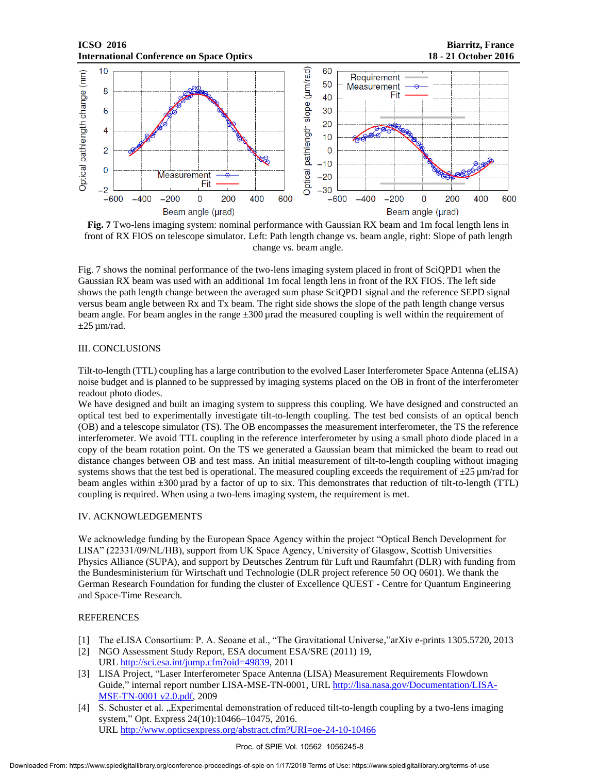## **ICSO 2016 Biarritz, France International Conference on Space Optics 18 - 21 October 2016**



**Fig. 7** Two-lens imaging system: nominal performance with Gaussian RX beam and 1m focal length lens in front of RX FIOS on telescope simulator. Left: Path length change vs. beam angle, right: Slope of path length change vs. beam angle.

Fig. 7 shows the nominal performance of the two-lens imaging system placed in front of SciQPD1 when the Gaussian RX beam was used with an additional 1m focal length lens in front of the RX FIOS. The left side shows the path length change between the averaged sum phase SciQPD1 signal and the reference SEPD signal versus beam angle between Rx and Tx beam. The right side shows the slope of the path length change versus beam angle. For beam angles in the range  $\pm 300$  urad the measured coupling is well within the requirement of  $\pm 25 \,\mu$ m/rad.

## III. CONCLUSIONS

Tilt-to-length (TTL) coupling has a large contribution to the evolved Laser Interferometer Space Antenna (eLISA) noise budget and is planned to be suppressed by imaging systems placed on the OB in front of the interferometer readout photo diodes.

We have designed and built an imaging system to suppress this coupling. We have designed and constructed an optical test bed to experimentally investigate tilt-to-length coupling. The test bed consists of an optical bench (OB) and a telescope simulator (TS). The OB encompasses the measurement interferometer, the TS the reference interferometer. We avoid TTL coupling in the reference interferometer by using a small photo diode placed in a copy of the beam rotation point. On the TS we generated a Gaussian beam that mimicked the beam to read out distance changes between OB and test mass. An initial measurement of tilt-to-length coupling without imaging systems shows that the test bed is operational. The measured coupling exceeds the requirement of  $\pm 25 \,\mu$ m/rad for beam angles within ±300 µrad by a factor of up to six. This demonstrates that reduction of tilt-to-length (TTL) coupling is required. When using a two-lens imaging system, the requirement is met.

## IV. ACKNOWLEDGEMENTS

We acknowledge funding by the European Space Agency within the project "Optical Bench Development for LISA" (22331/09/NL/HB), support from UK Space Agency, University of Glasgow, Scottish Universities Physics Alliance (SUPA), and support by Deutsches Zentrum für Luft und Raumfahrt (DLR) with funding from the Bundesministerium für Wirtschaft und Technologie (DLR project reference 50 OQ 0601). We thank the German Research Foundation for funding the cluster of Excellence QUEST - Centre for Quantum Engineering and Space-Time Research.

## REFERENCES

- [1] The eLISA Consortium: P. A. Seoane et al., "The Gravitational Universe,"arXiv e-prints 1305.5720, 2013
- [2] NGO Assessment Study Report, ESA document ESA/SRE (2011) 19, URL http://sci.esa.int/jump.cfm?oid=49839, 2011
- [3] LISA Project, "Laser Interferometer Space Antenna (LISA) Measurement Requirements Flowdown Guide," internal report number LISA-MSE-TN-0001, URL http://lisa.nasa.gov/Documentation/LISA-MSE-TN-0001 v2.0.pdf, 2009
- [4] S. Schuster et al. "Experimental demonstration of reduced tilt-to-length coupling by a two-lens imaging system," Opt. Express 24(10):10466–10475, 2016. URL http://www.opticsexpress.org/abstract.cfm?URI=oe-24-10-10466